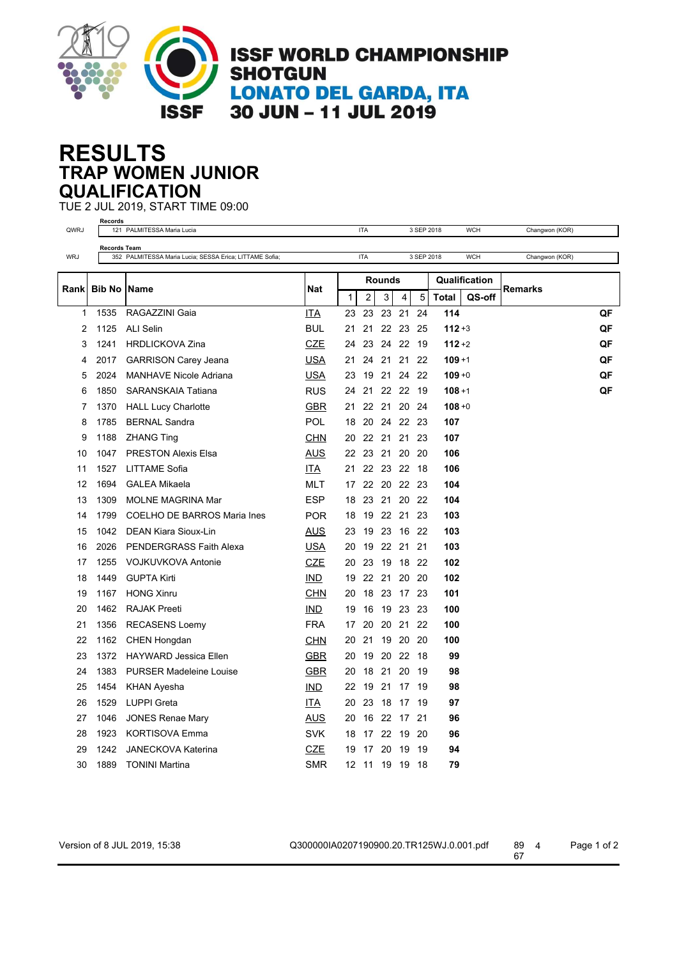

## **TRAP WOMEN JUNIOR RESULTS QUALIFICATION**

TUE 2 JUL 2019, START TIME 09:00

| <b>Records</b> |                     |                                                         |            |              |                |               |          |            |               |            |                |  |
|----------------|---------------------|---------------------------------------------------------|------------|--------------|----------------|---------------|----------|------------|---------------|------------|----------------|--|
| QWRJ           |                     | 121 PALMITESSA Maria Lucia                              |            |              | <b>ITA</b>     |               |          | 3 SEP 2018 |               | <b>WCH</b> | Changwon (KOR) |  |
|                | <b>Records Team</b> |                                                         |            |              |                |               |          |            |               |            |                |  |
| <b>WRJ</b>     |                     | 352 PALMITESSA Maria Lucia; SESSA Erica; LITTAME Sofia; |            |              | <b>ITA</b>     |               |          | 3 SEP 2018 |               | <b>WCH</b> | Changwon (KOR) |  |
|                |                     |                                                         | Nat        |              |                | <b>Rounds</b> |          |            | Qualification |            |                |  |
| Rankl          | Bib No              | Name                                                    |            | $\mathbf{1}$ | $\overline{2}$ | 3             | 4        | 5          | <b>Total</b>  | QS-off     | Remarks        |  |
| $\mathbf{1}$   | 1535                | RAGAZZINI Gaia                                          | ITA        | 23           | 23             | 23            | 21       | 24         | 114           |            | QF             |  |
| 2              | 1125                | <b>ALI Selin</b>                                        | <b>BUL</b> | 21           | 21             |               | 22 23    | 25         | $112 + 3$     |            | QF             |  |
| 3              | 1241                | <b>HRDLICKOVA Zina</b>                                  | CZE        | 24           | 23             |               | 24 22    | 19         | $112 + 2$     |            | QF             |  |
| 4              | 2017                | <b>GARRISON Carey Jeana</b>                             | <b>USA</b> | 21           | 24             | 21            | -21      | 22         | $109 + 1$     |            | QF             |  |
| 5              | 2024                | <b>MANHAVE Nicole Adriana</b>                           | USA        | 23           | 19             | 21            | 24       | 22         | $109 + 0$     |            | QF             |  |
| 6              | 1850                | SARANSKAIA Tatiana                                      | <b>RUS</b> | 24           | 21             |               | 22 22    | - 19       | $108 + 1$     |            | QF             |  |
| 7              | 1370                | <b>HALL Lucy Charlotte</b>                              | <u>GBR</u> | 21           | 22             | 21            | -20      | 24         | $108 + 0$     |            |                |  |
| 8              | 1785                | <b>BERNAL Sandra</b>                                    | <b>POL</b> | 18           | 20             |               | 24 22 23 |            | 107           |            |                |  |
| 9              | 1188                | <b>ZHANG Ting</b>                                       | CHN        | 20           |                | 22 21 21      |          | 23         | 107           |            |                |  |
| 10             | 1047                | <b>PRESTON Alexis Elsa</b>                              | <b>AUS</b> | 22           | 23             | 21 20         |          | -20        | 106           |            |                |  |
| 11             | 1527                | LITTAME Sofia                                           | ITA        | 21           |                | 22 23 22 18   |          |            | 106           |            |                |  |
| 12             | 1694                | <b>GALEA Mikaela</b>                                    | <b>MLT</b> | 17           |                | 22 20 22 23   |          |            | 104           |            |                |  |
| 13             | 1309                | MOLNE MAGRINA Mar                                       | <b>ESP</b> | 18           |                | 23 21 20 22   |          |            | 104           |            |                |  |
| 14             | 1799                | <b>COELHO DE BARROS Maria Ines</b>                      | <b>POR</b> | 18           | 19             |               | 22 21    | 23         | 103           |            |                |  |
| 15             | 1042                | <b>DEAN Kiara Sioux-Lin</b>                             | AUS        | 23           | 19             | 23            | 16       | 22         | 103           |            |                |  |
| 16             | 2026                | PENDERGRASS Faith Alexa                                 | USA        | 20           | 19             |               | 22 21    | 21         | 103           |            |                |  |
| 17             | 1255                | <b>VOJKUVKOVA Antonie</b>                               | <b>CZE</b> | 20           | 23             | 19            | 18       | 22         | 102           |            |                |  |
| 18             | 1449                | <b>GUPTA Kirti</b>                                      | IND.       | 19           |                | 22 21         | 20       | 20         | 102           |            |                |  |
| 19             | 1167                | <b>HONG Xinru</b>                                       | <b>CHN</b> | 20           | 18             | 23            | 17       | 23         | 101           |            |                |  |
| 20             | 1462                | <b>RAJAK Preeti</b>                                     | IMD        | 19           | 16             |               | 19 23    | 23         | 100           |            |                |  |
| 21             | 1356                | <b>RECASENS Loemy</b>                                   | <b>FRA</b> | 17           | 20             |               | 20 21    | 22         | 100           |            |                |  |
| 22             | 1162                | <b>CHEN Hongdan</b>                                     | CHN        | 20           | 21             |               | 19 20    | 20         | 100           |            |                |  |
| 23             | 1372                | <b>HAYWARD Jessica Ellen</b>                            | <b>GBR</b> | 20           | 19             |               | 20 22    | 18         | 99            |            |                |  |
| 24             | 1383                | <b>PURSER Madeleine Louise</b>                          | <u>GBR</u> | 20           | 18             | 21            | 20       | 19         | 98            |            |                |  |
| 25             | 1454                | KHAN Ayesha                                             | <b>IND</b> | 22           | 19             | 21            | 17       | 19         | 98            |            |                |  |
| 26             | 1529                | <b>LUPPI</b> Greta                                      | ITA        | 20           | 23             | 18            | 17 19    |            | 97            |            |                |  |
| 27             | 1046                | <b>JONES Renae Mary</b>                                 | AUS        | 20           | 16             | 22            | 17       | 21         | 96            |            |                |  |
| 28             | 1923                | <b>KORTISOVA Emma</b>                                   | <b>SVK</b> | 18           | 17             | 22            | 19       | 20         | 96            |            |                |  |
| 29             | 1242                | <b>JANECKOVA Katerina</b>                               | <b>CZE</b> | 19           | 17             | 20            | 19       | 19         | 94            |            |                |  |
| 30             | 1889                | <b>TONINI Martina</b>                                   | <b>SMR</b> | 12           | 11             | 19            | -19      | 18         | 79            |            |                |  |

Version of 8 JUL 2019, 15:38 Q300000IA0207190900.20.TR125WJ.0.001.pdf 89 4 Page 1 of 2